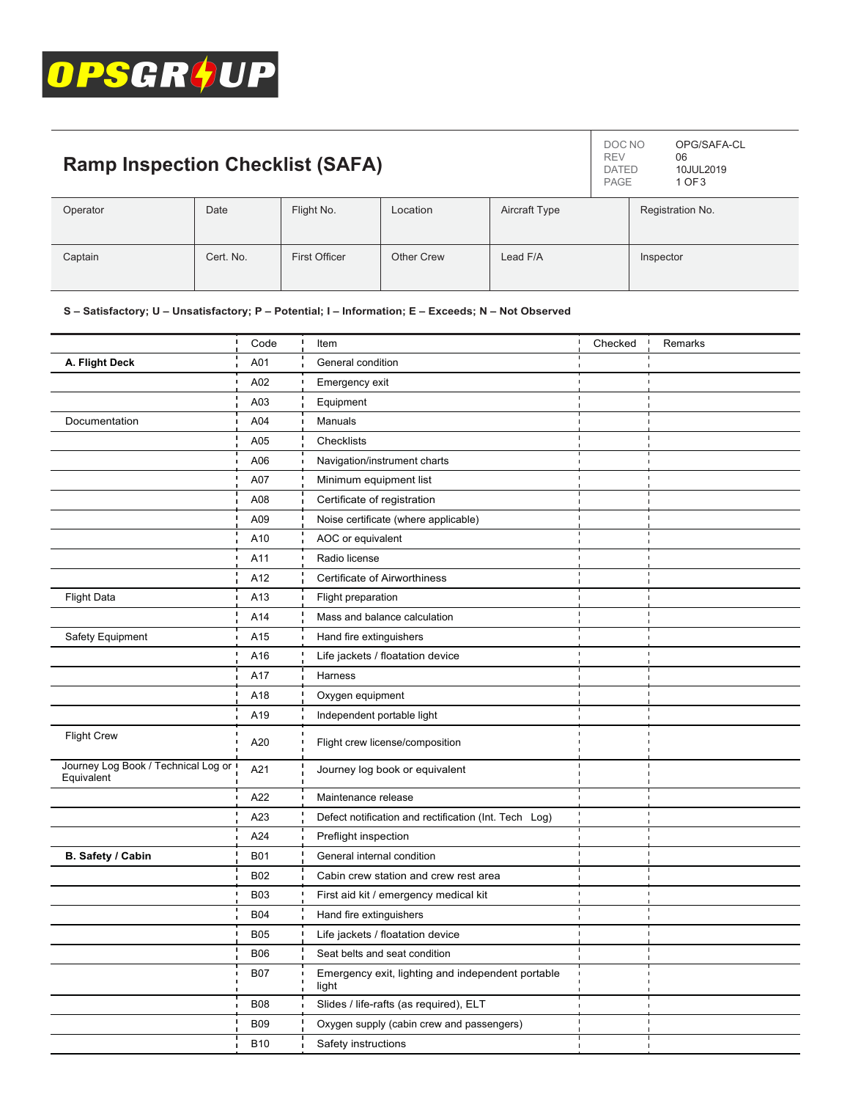

| <b>Ramp Inspection Checklist (SAFA)</b> |           |               |            |               | DOC NO<br><b>REV</b><br><b>DATED</b><br>PAGE | OPG/SAFA-CL<br>06<br>10JUL2019<br>1 OF 3 |
|-----------------------------------------|-----------|---------------|------------|---------------|----------------------------------------------|------------------------------------------|
| Operator                                | Date      | Flight No.    | Location   | Aircraft Type |                                              | Registration No.                         |
| Captain                                 | Cert. No. | First Officer | Other Crew | Lead F/A      |                                              | Inspector                                |

## **S – Satisfactory; U – Unsatisfactory; P – Potential; I – Information; E – Exceeds; N – Not Observed**

|                                                   | Code<br>$\mathbf{I}$ | Item                                                       | Checked | Remarks |
|---------------------------------------------------|----------------------|------------------------------------------------------------|---------|---------|
| A. Flight Deck                                    | A01                  | General condition                                          |         |         |
|                                                   | A02                  | Emergency exit                                             |         |         |
|                                                   | A03                  | Equipment                                                  |         |         |
| Documentation                                     | A04                  | Manuals                                                    |         |         |
|                                                   | A05                  | Checklists                                                 |         |         |
|                                                   | A06                  | Navigation/instrument charts                               |         |         |
|                                                   | A07                  | Minimum equipment list                                     |         |         |
|                                                   | A08                  | Certificate of registration                                |         |         |
|                                                   | A09                  | Noise certificate (where applicable)                       |         |         |
|                                                   | A10                  | AOC or equivalent                                          |         |         |
|                                                   | A11                  | Radio license                                              |         |         |
|                                                   | A12                  | Certificate of Airworthiness                               |         |         |
| <b>Flight Data</b>                                | A13                  | Flight preparation                                         |         |         |
|                                                   | A14                  | Mass and balance calculation                               |         |         |
| Safety Equipment                                  | A15                  | Hand fire extinguishers                                    |         |         |
|                                                   | A16                  | Life jackets / floatation device                           |         |         |
|                                                   | A17                  | Harness                                                    |         |         |
|                                                   | A18                  | Oxygen equipment                                           |         |         |
|                                                   | A19                  | Independent portable light                                 |         |         |
| <b>Flight Crew</b>                                | A20                  | Flight crew license/composition                            |         |         |
| Journey Log Book / Technical Log or<br>Equivalent | A21                  | Journey log book or equivalent                             |         |         |
|                                                   | A22                  | Maintenance release                                        |         |         |
|                                                   | A23                  | Defect notification and rectification (Int. Tech Log)      |         |         |
|                                                   | A24                  | Preflight inspection                                       |         |         |
| B. Safety / Cabin                                 | <b>B01</b>           | General internal condition                                 |         |         |
|                                                   | <b>B02</b>           | Cabin crew station and crew rest area                      |         |         |
|                                                   | <b>B03</b>           | First aid kit / emergency medical kit                      |         |         |
|                                                   | <b>B04</b>           | Hand fire extinguishers                                    |         |         |
|                                                   | <b>B05</b>           | Life jackets / floatation device                           |         |         |
|                                                   | <b>B06</b>           | Seat belts and seat condition                              |         |         |
|                                                   | <b>B07</b>           | Emergency exit, lighting and independent portable<br>light |         |         |
|                                                   | <b>B08</b>           | Slides / life-rafts (as required), ELT                     |         |         |
|                                                   | <b>B09</b>           | Oxygen supply (cabin crew and passengers)                  |         |         |
|                                                   | <b>B10</b>           | Safety instructions                                        |         |         |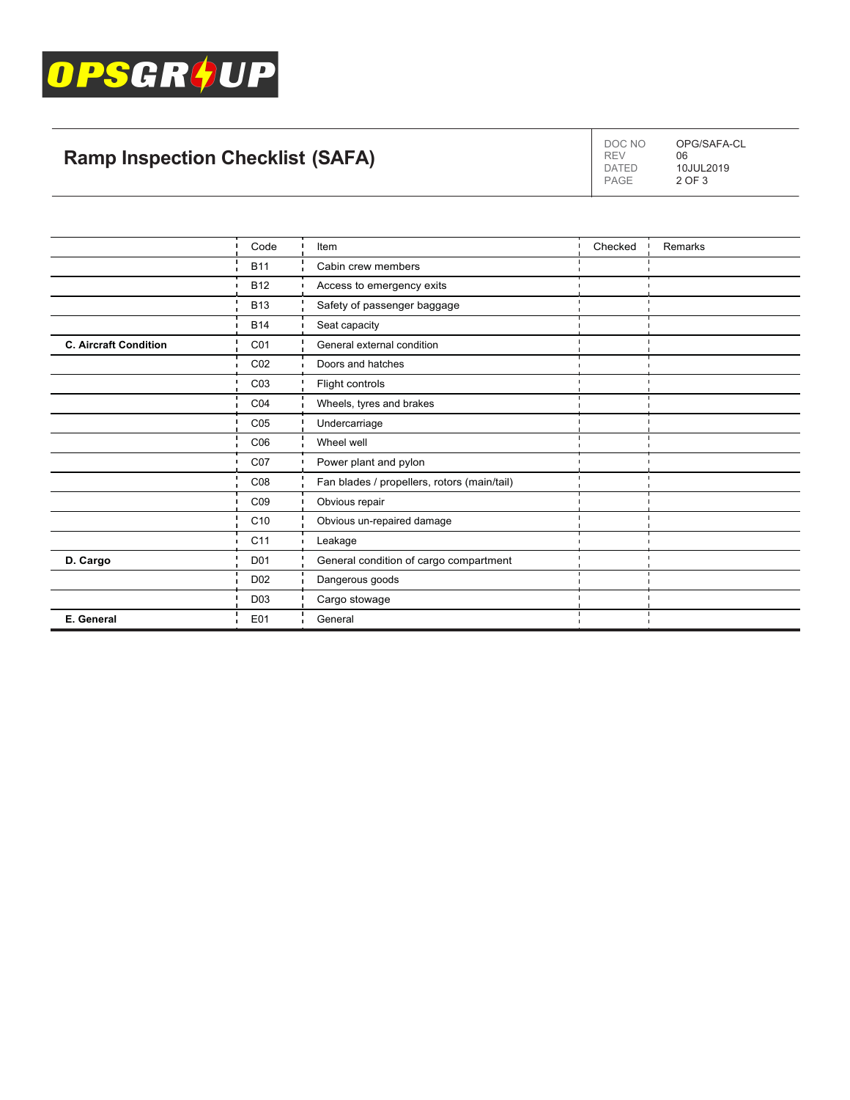

## **Ramp Inspection Checklist (SAFA)**

DOC NO DATED PAGE OPG/SAFA-CL 06 10JUL2019 2 OF 3

REV

|                              | Code            | Item                                        | Checked | Remarks |
|------------------------------|-----------------|---------------------------------------------|---------|---------|
|                              | <b>B11</b>      | Cabin crew members                          |         |         |
|                              | <b>B12</b>      | Access to emergency exits                   |         |         |
|                              | <b>B13</b>      | Safety of passenger baggage                 |         |         |
|                              | <b>B14</b>      | Seat capacity                               |         |         |
| <b>C. Aircraft Condition</b> | CO <sub>1</sub> | General external condition                  |         |         |
|                              | CO <sub>2</sub> | Doors and hatches                           |         |         |
|                              | C <sub>03</sub> | Flight controls                             |         |         |
|                              | CO <sub>4</sub> | Wheels, tyres and brakes                    |         |         |
|                              | C <sub>05</sub> | Undercarriage                               |         |         |
|                              | C <sub>06</sub> | Wheel well                                  |         |         |
|                              | CO <sub>7</sub> | Power plant and pylon                       |         |         |
|                              | C <sub>08</sub> | Fan blades / propellers, rotors (main/tail) |         |         |
|                              | CO9             | Obvious repair                              |         |         |
|                              | C <sub>10</sub> | Obvious un-repaired damage                  |         |         |
|                              | C <sub>11</sub> | Leakage                                     |         |         |
| D. Cargo                     | D <sub>01</sub> | General condition of cargo compartment      |         |         |
|                              | D <sub>02</sub> | Dangerous goods                             |         |         |
|                              | D <sub>03</sub> | Cargo stowage                               |         |         |
| E. General                   | E01             | General                                     |         |         |